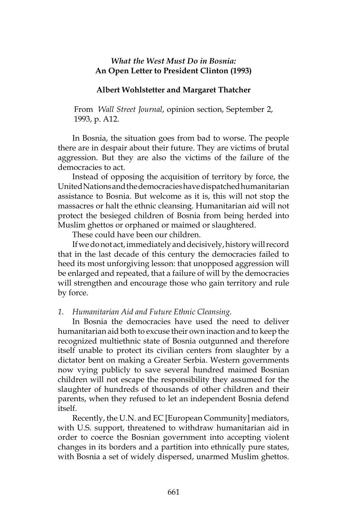## *What the West Must Do in Bosnia:* **An Open Letter to President Clinton (1993)**

#### **Albert Wohlstetter and Margaret Thatcher**

From *Wall Street Journal*, opinion section, September 2, 1993, p. A12.

In Bosnia, the situation goes from bad to worse. The people there are in despair about their future. They are victims of brutal aggression. But they are also the victims of the failure of the democracies to act.

Instead of opposing the acquisition of territory by force, the United Nations and the democracies have dispatched humanitarian assistance to Bosnia. But welcome as it is, this will not stop the massacres or halt the ethnic cleansing. Humanitarian aid will not protect the besieged children of Bosnia from being herded into Muslim ghettos or orphaned or maimed or slaughtered.

These could have been our children.

If we do not act, immediately and decisively, history will record that in the last decade of this century the democracies failed to heed its most unforgiving lesson: that unopposed aggression will be enlarged and repeated, that a failure of will by the democracies will strengthen and encourage those who gain territory and rule by force.

#### *1. Humanitarian Aid and Future Ethnic Cleansing.*

In Bosnia the democracies have used the need to deliver humanitarian aid both to excuse their own inaction and to keep the recognized multiethnic state of Bosnia outgunned and therefore itself unable to protect its civilian centers from slaughter by a dictator bent on making a Greater Serbia. Western governments now vying publicly to save several hundred maimed Bosnian children will not escape the responsibility they assumed for the slaughter of hundreds of thousands of other children and their parents, when they refused to let an independent Bosnia defend itself.

Recently, the U.N. and EC [European Community] mediators, with U.S. support, threatened to withdraw humanitarian aid in order to coerce the Bosnian government into accepting violent changes in its borders and a partition into ethnically pure states, with Bosnia a set of widely dispersed, unarmed Muslim ghettos.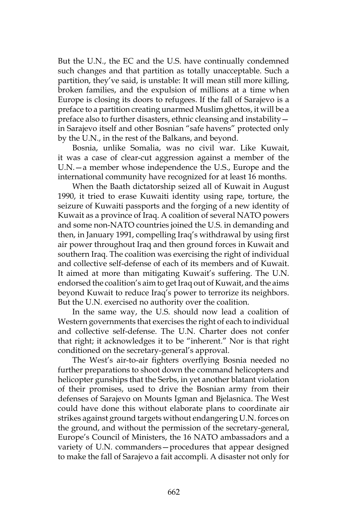But the U.N., the EC and the U.S. have continually condemned such changes and that partition as totally unacceptable. Such a partition, they've said, is unstable: It will mean still more killing, broken families, and the expulsion of millions at a time when Europe is closing its doors to refugees. If the fall of Sarajevo is a preface to a partition creating unarmed Muslim ghettos, it will be a preface also to further disasters, ethnic cleansing and instability in Sarajevo itself and other Bosnian "safe havens" protected only by the U.N., in the rest of the Balkans, and beyond.

Bosnia, unlike Somalia, was no civil war. Like Kuwait, it was a case of clear-cut aggression against a member of the U.N.—a member whose independence the U.S., Europe and the international community have recognized for at least 16 months.

When the Baath dictatorship seized all of Kuwait in August 1990, it tried to erase Kuwaiti identity using rape, torture, the seizure of Kuwaiti passports and the forging of a new identity of Kuwait as a province of Iraq. A coalition of several NATO powers and some non-NATO countries joined the U.S. in demanding and then, in January 1991, compelling Iraq's withdrawal by using first air power throughout Iraq and then ground forces in Kuwait and southern Iraq. The coalition was exercising the right of individual and collective self-defense of each of its members and of Kuwait. It aimed at more than mitigating Kuwait's suffering. The U.N. endorsed the coalition's aim to get Iraq out of Kuwait, and the aims beyond Kuwait to reduce Iraq's power to terrorize its neighbors. But the U.N. exercised no authority over the coalition.

In the same way, the U.S. should now lead a coalition of Western governments that exercises the right of each to individual and collective self-defense. The U.N. Charter does not confer that right; it acknowledges it to be "inherent." Nor is that right conditioned on the secretary-general's approval.

The West's air-to-air fighters overflying Bosnia needed no further preparations to shoot down the command helicopters and helicopter gunships that the Serbs, in yet another blatant violation of their promises, used to drive the Bosnian army from their defenses of Sarajevo on Mounts Igman and Bjelasnica. The West could have done this without elaborate plans to coordinate air strikes against ground targets without endangering U.N. forces on the ground, and without the permission of the secretary-general, Europe's Council of Ministers, the 16 NATO ambassadors and a variety of U.N. commanders—procedures that appear designed to make the fall of Sarajevo a fait accompli. A disaster not only for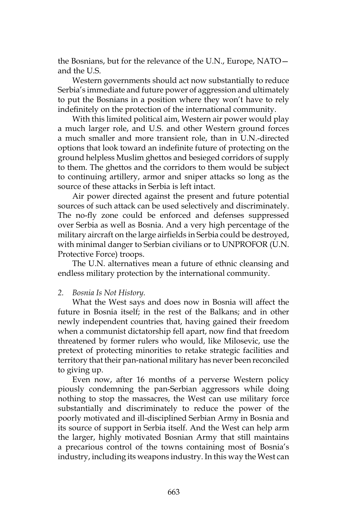the Bosnians, but for the relevance of the U.N., Europe, NATO and the U.S.

Western governments should act now substantially to reduce Serbia's immediate and future power of aggression and ultimately to put the Bosnians in a position where they won't have to rely indefinitely on the protection of the international community.

With this limited political aim, Western air power would play a much larger role, and U.S. and other Western ground forces a much smaller and more transient role, than in U.N.-directed options that look toward an indefinite future of protecting on the ground helpless Muslim ghettos and besieged corridors of supply to them. The ghettos and the corridors to them would be subject to continuing artillery, armor and sniper attacks so long as the source of these attacks in Serbia is left intact.

Air power directed against the present and future potential sources of such attack can be used selectively and discriminately. The no-fly zone could be enforced and defenses suppressed over Serbia as well as Bosnia. And a very high percentage of the military aircraft on the large airfields in Serbia could be destroyed, with minimal danger to Serbian civilians or to UNPROFOR (U.N. Protective Force) troops.

The U.N. alternatives mean a future of ethnic cleansing and endless military protection by the international community.

### *2. Bosnia Is Not History.*

What the West says and does now in Bosnia will affect the future in Bosnia itself; in the rest of the Balkans; and in other newly independent countries that, having gained their freedom when a communist dictatorship fell apart, now find that freedom threatened by former rulers who would, like Milosevic, use the pretext of protecting minorities to retake strategic facilities and territory that their pan-national military has never been reconciled to giving up.

Even now, after 16 months of a perverse Western policy piously condemning the pan-Serbian aggressors while doing nothing to stop the massacres, the West can use military force substantially and discriminately to reduce the power of the poorly motivated and ill-disciplined Serbian Army in Bosnia and its source of support in Serbia itself. And the West can help arm the larger, highly motivated Bosnian Army that still maintains a precarious control of the towns containing most of Bosnia's industry, including its weapons industry. In this way the West can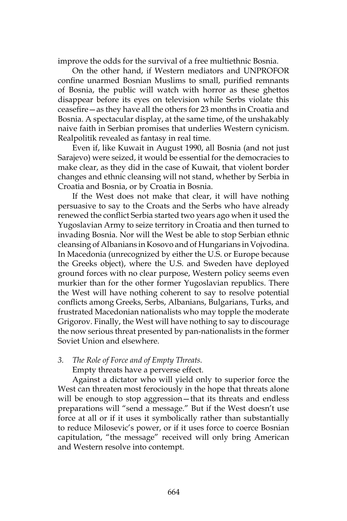improve the odds for the survival of a free multiethnic Bosnia.

On the other hand, if Western mediators and UNPROFOR confine unarmed Bosnian Muslims to small, purified remnants of Bosnia, the public will watch with horror as these ghettos disappear before its eyes on television while Serbs violate this ceasefire—as they have all the others for 23 months in Croatia and Bosnia. A spectacular display, at the same time, of the unshakably naive faith in Serbian promises that underlies Western cynicism. Realpolitik revealed as fantasy in real time.

Even if, like Kuwait in August 1990, all Bosnia (and not just Sarajevo) were seized, it would be essential for the democracies to make clear, as they did in the case of Kuwait, that violent border changes and ethnic cleansing will not stand, whether by Serbia in Croatia and Bosnia, or by Croatia in Bosnia.

If the West does not make that clear, it will have nothing persuasive to say to the Croats and the Serbs who have already renewed the conflict Serbia started two years ago when it used the Yugoslavian Army to seize territory in Croatia and then turned to invading Bosnia. Nor will the West be able to stop Serbian ethnic cleansing of Albanians in Kosovo and of Hungarians in Vojvodina. In Macedonia (unrecognized by either the U.S. or Europe because the Greeks object), where the U.S. and Sweden have deployed ground forces with no clear purpose, Western policy seems even murkier than for the other former Yugoslavian republics. There the West will have nothing coherent to say to resolve potential conflicts among Greeks, Serbs, Albanians, Bulgarians, Turks, and frustrated Macedonian nationalists who may topple the moderate Grigorov. Finally, the West will have nothing to say to discourage the now serious threat presented by pan-nationalists in the former Soviet Union and elsewhere.

# *3. The Role of Force and of Empty Threats.*

Empty threats have a perverse effect.

Against a dictator who will yield only to superior force the West can threaten most ferociously in the hope that threats alone will be enough to stop aggression—that its threats and endless preparations will "send a message." But if the West doesn't use force at all or if it uses it symbolically rather than substantially to reduce Milosevic's power, or if it uses force to coerce Bosnian capitulation, "the message" received will only bring American and Western resolve into contempt.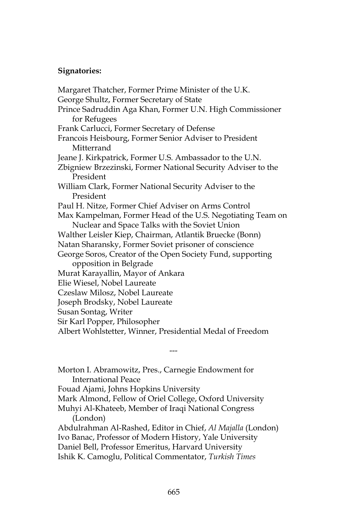## **Signatories:**

Margaret Thatcher, Former Prime Minister of the U.K. George Shultz, Former Secretary of State Prince Sadruddin Aga Khan, Former U.N. High Commissioner for Refugees Frank Carlucci, Former Secretary of Defense Francois Heisbourg, Former Senior Adviser to President Mitterrand Jeane J. Kirkpatrick, Former U.S. Ambassador to the U.N. Zbigniew Brzezinski, Former National Security Adviser to the President William Clark, Former National Security Adviser to the President Paul H. Nitze, Former Chief Adviser on Arms Control Max Kampelman, Former Head of the U.S. Negotiating Team on Nuclear and Space Talks with the Soviet Union Walther Leisler Kiep, Chairman, Atlantik Bruecke (Bonn) Natan Sharansky, Former Soviet prisoner of conscience George Soros, Creator of the Open Society Fund, supporting opposition in Belgrade Murat Karayallin, Mayor of Ankara Elie Wiesel, Nobel Laureate Czeslaw Milosz, Nobel Laureate Joseph Brodsky, Nobel Laureate Susan Sontag, Writer Sir Karl Popper, Philosopher Albert Wohlstetter, Winner, Presidential Medal of Freedom

Morton I. Abramowitz, Pres., Carnegie Endowment for International Peace Fouad Ajami, Johns Hopkins University Mark Almond, Fellow of Oriel College, Oxford University Muhyi Al-Khateeb, Member of Iraqi National Congress (London) Abdulrahman Al-Rashed, Editor in Chief, *Al Majalla* (London) Ivo Banac, Professor of Modern History, Yale University Daniel Bell, Professor Emeritus, Harvard University Ishik K. Camoglu, Political Commentator, *Turkish Times*

---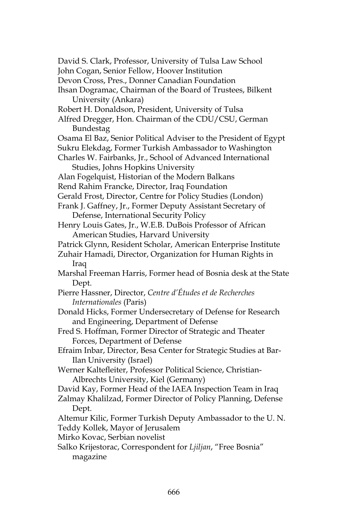David S. Clark, Professor, University of Tulsa Law School John Cogan, Senior Fellow, Hoover Institution Devon Cross, Pres., Donner Canadian Foundation Ihsan Dogramac, Chairman of the Board of Trustees, Bilkent University (Ankara) Robert H. Donaldson, President, University of Tulsa Alfred Dregger, Hon. Chairman of the CDU/CSU, German Bundestag Osama El Baz, Senior Political Adviser to the President of Egypt Sukru Elekdag, Former Turkish Ambassador to Washington Charles W. Fairbanks, Jr., School of Advanced International Studies, Johns Hopkins University Alan Fogelquist, Historian of the Modern Balkans Rend Rahim Francke, Director, Iraq Foundation Gerald Frost, Director, Centre for Policy Studies (London) Frank J. Gaffney, Jr., Former Deputy Assistant Secretary of Defense, International Security Policy Henry Louis Gates, Jr., W.E.B. DuBois Professor of African American Studies, Harvard University Patrick Glynn, Resident Scholar, American Enterprise Institute Zuhair Hamadi, Director, Organization for Human Rights in Iraq Marshal Freeman Harris, Former head of Bosnia desk at the State Dept. Pierre Hassner, Director, *Centre d'Études et de Recherches Internationales* (Paris) Donald Hicks, Former Undersecretary of Defense for Research and Engineering, Department of Defense Fred S. Hoffman, Former Director of Strategic and Theater Forces, Department of Defense Efraim Inbar, Director, Besa Center for Strategic Studies at Bar-Ilan University (Israel) Werner Kaltefleiter, Professor Political Science, Christian-Albrechts University, Kiel (Germany) David Kay, Former Head of the IAEA Inspection Team in Iraq Zalmay Khalilzad, Former Director of Policy Planning, Defense Dept. Altemur Kilic, Former Turkish Deputy Ambassador to the U. N. Teddy Kollek, Mayor of Jerusalem Mirko Kovac, Serbian novelist Salko Krijestorac, Correspondent for *Ljiljan*, "Free Bosnia" magazine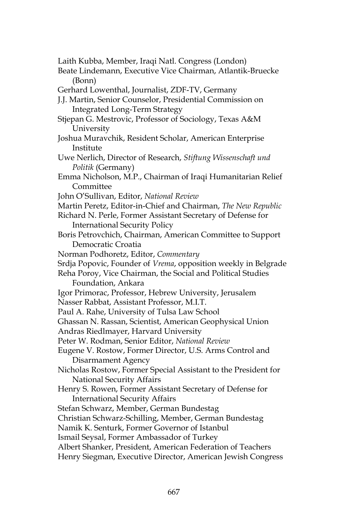Laith Kubba, Member, Iraqi Natl. Congress (London) Beate Lindemann, Executive Vice Chairman, Atlantik-Bruecke (Bonn) Gerhard Lowenthal, Journalist, ZDF-TV, Germany J.J. Martin, Senior Counselor, Presidential Commission on Integrated Long-Term Strategy Stjepan G. Mestrovic, Professor of Sociology, Texas A&M University Joshua Muravchik, Resident Scholar, American Enterprise Institute Uwe Nerlich, Director of Research, *Stiftung Wissenschaft und Politik* (Germany) Emma Nicholson, M.P., Chairman of Iraqi Humanitarian Relief Committee John O'Sullivan, Editor, *National Review* Martin Peretz, Editor-in-Chief and Chairman, *The New Republic* Richard N. Perle, Former Assistant Secretary of Defense for International Security Policy Boris Petrovchich, Chairman, American Committee to Support Democratic Croatia Norman Podhoretz, Editor, *Commentary* Srdja Popovic, Founder of *Vrema*, opposition weekly in Belgrade Reha Poroy, Vice Chairman, the Social and Political Studies Foundation, Ankara Igor Primorac, Professor, Hebrew University, Jerusalem Nasser Rabbat, Assistant Professor, M.I.T. Paul A. Rahe, University of Tulsa Law School Ghassan N. Rassan, Scientist, American Geophysical Union Andras Riedlmayer, Harvard University Peter W. Rodman, Senior Editor, *National Review* Eugene V. Rostow, Former Director, U.S. Arms Control and Disarmament Agency Nicholas Rostow, Former Special Assistant to the President for National Security Affairs Henry S. Rowen, Former Assistant Secretary of Defense for International Security Affairs Stefan Schwarz, Member, German Bundestag Christian Schwarz-Schilling, Member, German Bundestag Namik K. Senturk, Former Governor of Istanbul Ismail Seysal, Former Ambassador of Turkey Albert Shanker, President, American Federation of Teachers Henry Siegman, Executive Director, American Jewish Congress